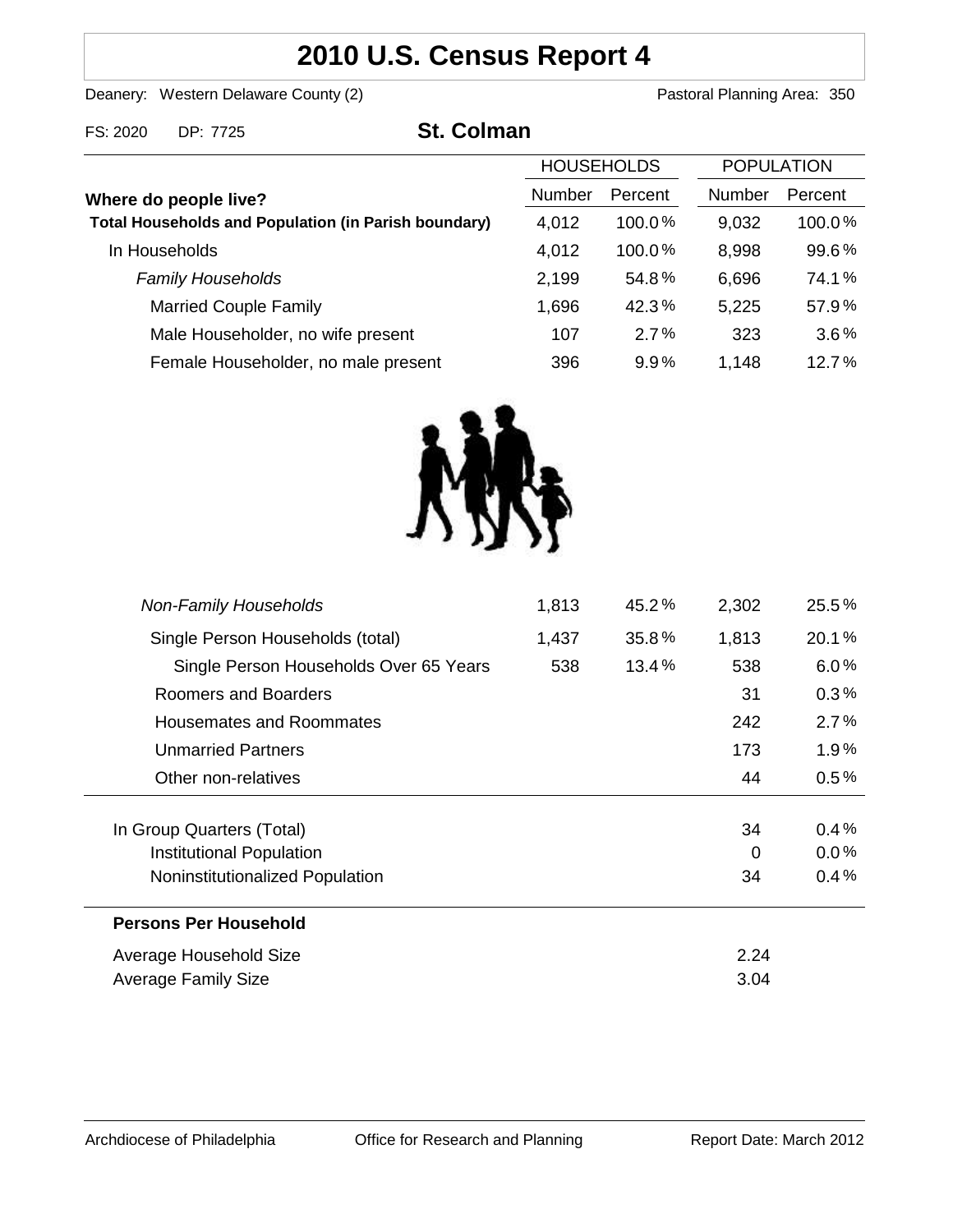# **2010 U.S. Census Report 4**

Deanery: Western Delaware County (2) Deanery: Western Delaware County (2)

FS: 2020 DP: 7725 **St. Colman**

| <b>HOUSEHOLDS</b>                                           |        |           | <b>POPULATION</b> |         |
|-------------------------------------------------------------|--------|-----------|-------------------|---------|
| Where do people live?                                       | Number | Percent   | Number            | Percent |
| <b>Total Households and Population (in Parish boundary)</b> | 4,012  | $100.0\%$ | 9,032             | 100.0%  |
| In Households                                               | 4,012  | 100.0%    | 8,998             | 99.6%   |
| <b>Family Households</b>                                    | 2,199  | 54.8%     | 6,696             | 74.1%   |
| <b>Married Couple Family</b>                                | 1,696  | 42.3%     | 5,225             | 57.9%   |
| Male Householder, no wife present                           | 107    | 2.7%      | 323               | 3.6%    |
| Female Householder, no male present                         | 396    | 9.9%      | 1,148             | 12.7%   |



| <b>Non-Family Households</b>           | 1,813 | 45.2%    | 2,302    | 25.5%   |
|----------------------------------------|-------|----------|----------|---------|
| Single Person Households (total)       | 1,437 | 35.8%    | 1,813    | 20.1%   |
| Single Person Households Over 65 Years | 538   | $13.4\%$ | 538      | 6.0%    |
| Roomers and Boarders                   |       |          | 31       | 0.3%    |
| <b>Housemates and Roommates</b>        |       |          | 242      | 2.7%    |
| <b>Unmarried Partners</b>              |       |          | 173      | 1.9%    |
| Other non-relatives                    |       |          | 44       | $0.5\%$ |
|                                        |       |          |          |         |
| In Group Quarters (Total)              |       |          | 34       | 0.4%    |
| Institutional Population               |       |          | $\Omega$ | $0.0\%$ |
| Noninstitutionalized Population        |       |          | 34       | 0.4%    |
| <b>Persons Per Household</b>           |       |          |          |         |
| Average Household Size                 |       |          | 2.24     |         |
| Average Family Size                    |       |          | 3.04     |         |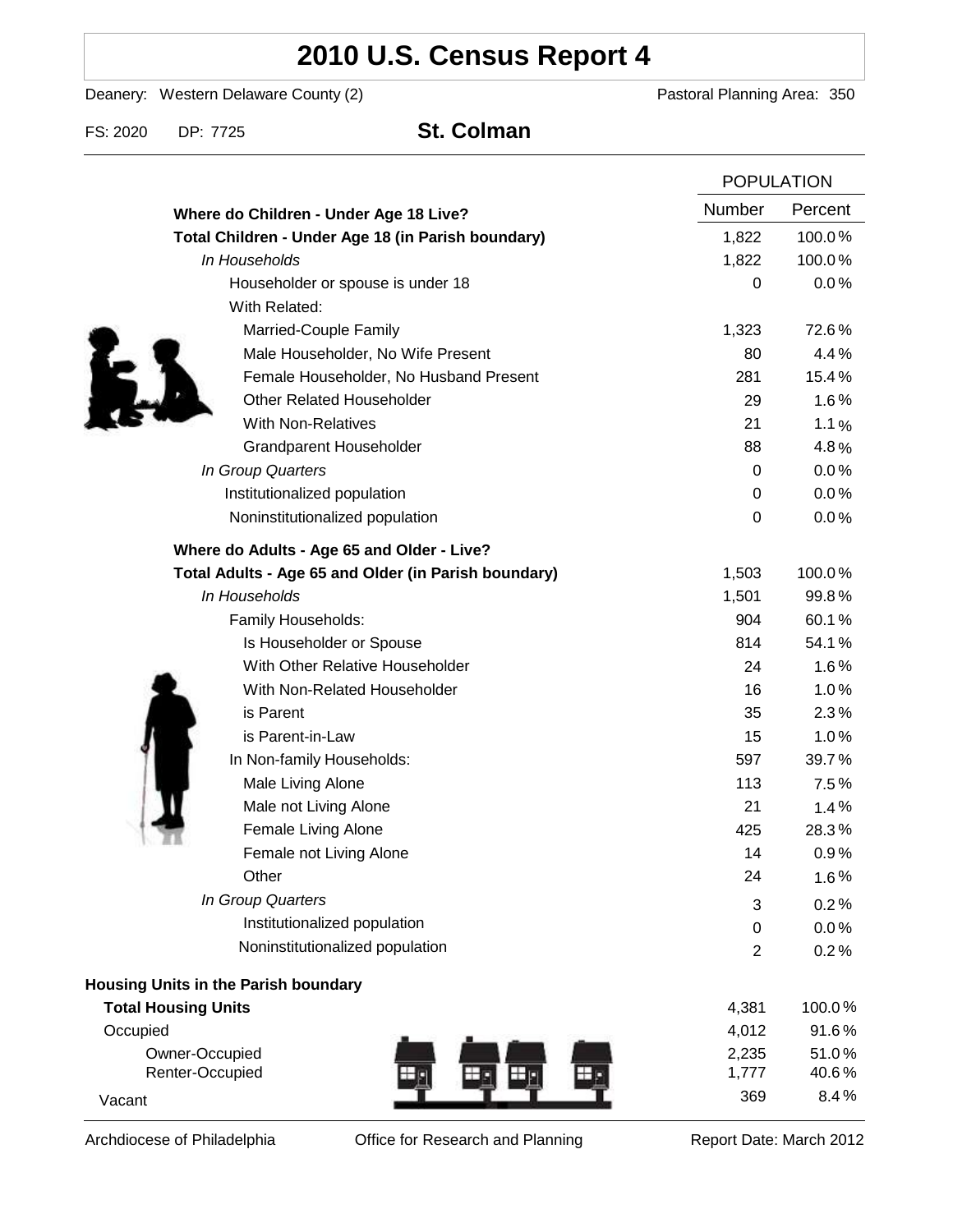# **2010 U.S. Census Report 4**

Deanery: Western Delaware County (2) Deanery: Western Delaware County (2)

FS: 2020 DP: 7725 **St. Colman**

|                                                      |                | <b>POPULATION</b> |  |
|------------------------------------------------------|----------------|-------------------|--|
| Where do Children - Under Age 18 Live?               | Number         | Percent           |  |
| Total Children - Under Age 18 (in Parish boundary)   | 1,822          | 100.0%            |  |
| In Households                                        | 1,822          | 100.0%            |  |
| Householder or spouse is under 18                    | 0              | 0.0%              |  |
| With Related:                                        |                |                   |  |
| Married-Couple Family                                | 1,323          | 72.6%             |  |
| Male Householder, No Wife Present                    | 80             | 4.4%              |  |
| Female Householder, No Husband Present               | 281            | 15.4%             |  |
| <b>Other Related Householder</b>                     | 29             | 1.6%              |  |
| <b>With Non-Relatives</b>                            | 21             | 1.1%              |  |
| <b>Grandparent Householder</b>                       | 88             | 4.8%              |  |
| In Group Quarters                                    | 0              | 0.0%              |  |
| Institutionalized population                         | 0              | 0.0%              |  |
| Noninstitutionalized population                      | 0              | 0.0%              |  |
| Where do Adults - Age 65 and Older - Live?           |                |                   |  |
| Total Adults - Age 65 and Older (in Parish boundary) | 1,503          | 100.0%            |  |
| In Households                                        | 1,501          | 99.8%             |  |
| Family Households:                                   | 904            | 60.1%             |  |
| Is Householder or Spouse                             | 814            | 54.1%             |  |
| With Other Relative Householder                      | 24             | 1.6%              |  |
| With Non-Related Householder                         | 16             | 1.0%              |  |
| is Parent                                            | 35             | 2.3%              |  |
| is Parent-in-Law                                     | 15             | 1.0%              |  |
| In Non-family Households:                            | 597            | 39.7%             |  |
| Male Living Alone                                    | 113            | 7.5%              |  |
| Male not Living Alone                                | 21             | 1.4%              |  |
| Female Living Alone                                  | 425            | 28.3%             |  |
| Female not Living Alone                              | 14             | 0.9%              |  |
| Other                                                | 24             | 1.6%              |  |
| In Group Quarters                                    | 3              | 0.2%              |  |
| Institutionalized population                         | 0              | 0.0%              |  |
| Noninstitutionalized population                      | $\overline{2}$ | 0.2%              |  |
| Housing Units in the Parish boundary                 |                |                   |  |
| <b>Total Housing Units</b>                           | 4,381          | 100.0%            |  |
| Occupied                                             | 4,012          | 91.6%             |  |
| Owner-Occupied                                       | 2,235          | 51.0%             |  |
| Renter-Occupied                                      | 1,777          | 40.6%             |  |
| Vacant                                               | 369            | 8.4%              |  |

Archdiocese of Philadelphia **Office for Research and Planning** Report Date: March 2012